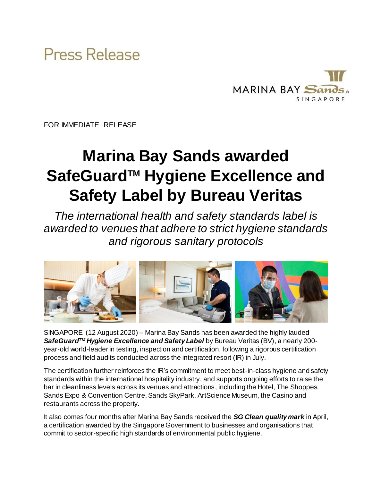



FOR IMMEDIATE RELEASE

# **Marina Bay Sands awarded SafeGuardTM Hygiene Excellence and Safety Label by Bureau Veritas**

*The international health and safety standards label is awarded to venues that adhere to strict hygiene standards and rigorous sanitary protocols* 



SINGAPORE (12 August 2020) – Marina Bay Sands has been awarded the highly lauded *SafeGuardTM Hygiene Excellence and Safety Label* by Bureau Veritas (BV), a nearly 200 year-old world-leader in testing, inspection and certification, following a rigorous certification process and field audits conducted across the integrated resort (IR) in July.

The certification further reinforces the IR's commitment to meet best-in-class hygiene and safety standards within the international hospitality industry, and supports ongoing efforts to raise the bar in cleanliness levels across its venues and attractions, including the Hotel, The Shoppes, Sands Expo & Convention Centre, Sands SkyPark, ArtScience Museum, the Casino and restaurants across the property.

It also comes four months after Marina Bay Sands received the *SG Clean quality mark* in April, a certification awarded by the Singapore Government to businesses and organisations that commit to sector-specific high standards of environmental public hygiene.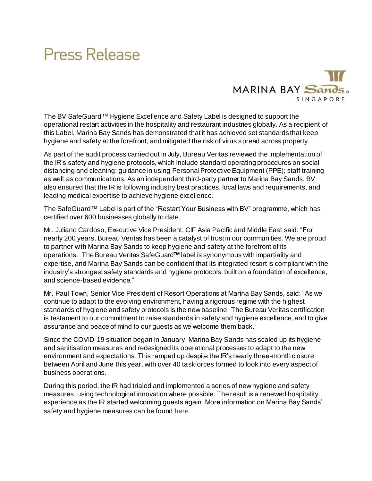## Press Release



The BV SafeGuard™ Hygiene Excellence and Safety Label is designed to support the operational restart activities in the hospitality and restaurant industries globally. As a recipient of this Label, Marina Bay Sands has demonstrated that it has achieved set standards that keep hygiene and safety at the forefront, and mitigated the risk of virus spread across property.

As part of the audit process carried out in July, Bureau Veritas reviewed the implementation of the IR's safety and hygiene protocols, which include standard operating procedures on social distancing and cleaning; guidance in using Personal Protective Equipment (PPE); staff training as well as communications. As an independent third-party partner to Marina Bay Sands, BV also ensured that the IR is following industry best practices, local laws and requirements, and leading medical expertise to achieve hygiene excellence.

The SafeGuard™ Label is part of the "Restart Your Business with BV" programme, which has certified over 600 businesses globally to date.

Mr. Juliano Cardoso, Executive Vice President, CIF Asia Pacific and Middle East said: "For nearly 200 years, Bureau Veritas has been a catalyst of trust in our communities. We are proud to partner with Marina Bay Sands to keep hygiene and safety at the forefront of its operations. The Bureau Veritas SafeGuard**TM** label is synonymous with impartiality and expertise, and Marina Bay Sands can be confident that its integrated resort is compliant with the industry's strongest safety standards and hygiene protocols, built on a foundation of excellence, and science-based evidence."

Mr. Paul Town, Senior Vice President of Resort Operations at Marina Bay Sands, said: "As we continue to adapt to the evolving environment, having a rigorous regime with the highest standards of hygiene and safety protocols is the new baseline. The Bureau Veritas certification is testament to our commitment to raise standards in safety and hygiene excellence, and to give assurance and peace of mind to our guests as we welcome them back."

Since the COVID-19 situation began in January, Marina Bay Sands has scaled up its hygiene and sanitisation measures and redesigned its operational processes to adapt to the new environment and expectations. This ramped up despite the IR's nearly three-month closure between April and June this year, with over 40 taskforces formed to look into every aspect of business operations.

During this period, the IR had trialed and implemented a series of new hygiene and safety measures, using technological innovation where possible. The result is a renewed hospitality experience as the IR started welcoming guests again. More information on Marina Bay Sands' safety and hygiene measures can be foun[d here](https://www.marinabaysands.com/company-information/sands-clean-and-safe.html).